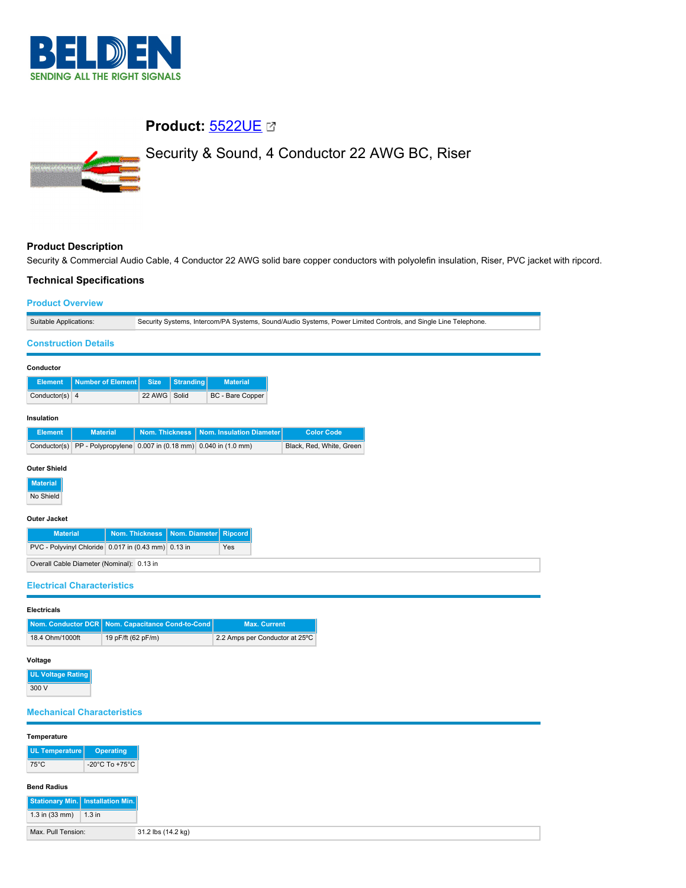

# **Product:** [5522UE](https://catalog.belden.com/index.cfm?event=pd&p=PF_5522UE&tab=downloads)

# Security & Sound, 4 Conductor 22 AWG BC, Riser



## **Product Description**

Security & Commercial Audio Cable, 4 Conductor 22 AWG solid bare copper conductors with polyolefin insulation, Riser, PVC jacket with ripcord.

### **Technical Specifications**

|  | <b>Product Overview</b> |  |
|--|-------------------------|--|
|  |                         |  |

| <b>Product Overview</b>                             |                                                                                                                |
|-----------------------------------------------------|----------------------------------------------------------------------------------------------------------------|
| Suitable Applications:                              | Security Systems, Intercom/PA Systems, Sound/Audio Systems, Power Limited Controls, and Single Line Telephone. |
| <b>Construction Details</b>                         |                                                                                                                |
| Conductor                                           |                                                                                                                |
| <b>Number of Element</b><br><b>Element</b>          | <b>Size</b><br><b>Stranding</b><br><b>Material</b>                                                             |
| Conductor(s)<br>$\overline{4}$                      | 22 AWG<br>Solid<br>BC - Bare Copper                                                                            |
| Insulation                                          |                                                                                                                |
| <b>Material</b><br><b>Element</b>                   | <b>Nom. Thickness</b><br>Nom. Insulation Diameter<br><b>Color Code</b>                                         |
| Conductor(s)                                        | PP - Polypropylene 0.007 in (0.18 mm) 0.040 in (1.0 mm)<br>Black, Red, White, Green                            |
| <b>Outer Shield</b><br><b>Material</b><br>No Shield |                                                                                                                |
| <b>Outer Jacket</b>                                 |                                                                                                                |
| <b>Material</b>                                     | <b>Nom. Thickness</b><br>Nom. Diameter<br><b>Ripcord</b>                                                       |
| PVC - Polyvinyl Chloride 0.017 in (0.43 mm) 0.13 in | Yes                                                                                                            |
| Overall Cable Diameter (Nominal): 0.13 in           |                                                                                                                |
| <b>Electrical Characteristics</b>                   |                                                                                                                |
| <b>Electricals</b>                                  |                                                                                                                |
| Nom. Conductor DCR Nom. Capacitance Cond-to-Cond    | <b>Max. Current</b>                                                                                            |
| 18.4 Ohm/1000ft                                     | 19 pF/ft (62 pF/m)<br>2.2 Amps per Conductor at 25°C                                                           |
| Voltage                                             |                                                                                                                |
| <b>UL Voltage Rating</b>                            |                                                                                                                |
| 300 V                                               |                                                                                                                |
|                                                     |                                                                                                                |
| <b>Mechanical Characteristics</b>                   |                                                                                                                |
| Temperature                                         |                                                                                                                |
| <b>UL Temperature</b><br><b>Operating</b>           |                                                                                                                |
| $75^{\circ}$ C<br>-20°C To +75°C                    |                                                                                                                |
| <b>Bend Radius</b>                                  |                                                                                                                |
| Stationary Min.   Installation Min.                 |                                                                                                                |
| 1.3 in (33 mm)<br>$1.3$ in                          |                                                                                                                |
| Max. Pull Tension:                                  | 31.2 lbs (14.2 kg)                                                                                             |